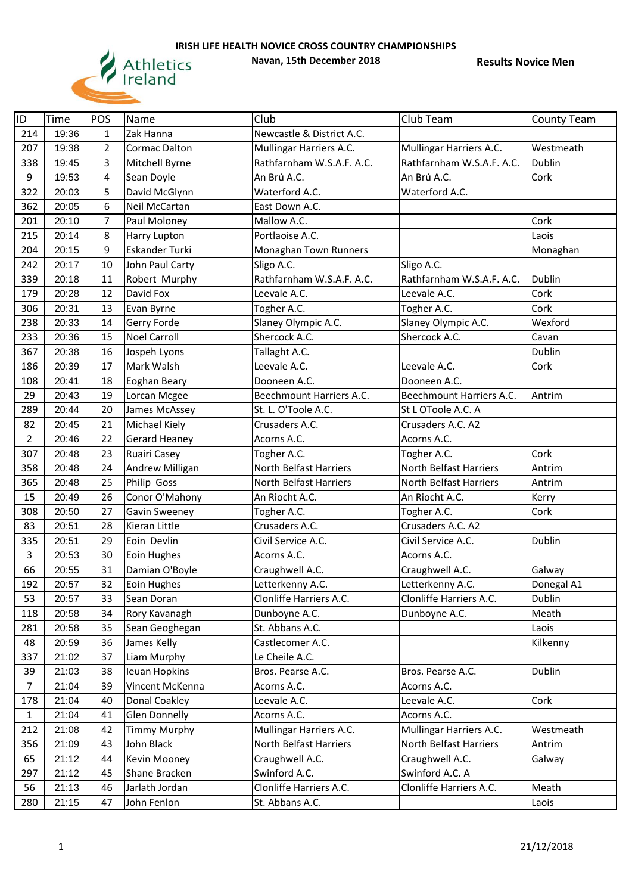

| ID             | Time  | POS            | Name                | Club                          | Club Team                     | <b>County Team</b> |
|----------------|-------|----------------|---------------------|-------------------------------|-------------------------------|--------------------|
| 214            | 19:36 | $\mathbf{1}$   | Zak Hanna           | Newcastle & District A.C.     |                               |                    |
| 207            | 19:38 | $\overline{2}$ | Cormac Dalton       | Mullingar Harriers A.C.       | Mullingar Harriers A.C.       | Westmeath          |
| 338            | 19:45 | 3              | Mitchell Byrne      | Rathfarnham W.S.A.F. A.C.     | Rathfarnham W.S.A.F. A.C.     | Dublin             |
| 9              | 19:53 | 4              | Sean Doyle          | An Brú A.C.                   | An Brú A.C.                   | Cork               |
| 322            | 20:03 | 5              | David McGlynn       | Waterford A.C.                | Waterford A.C.                |                    |
| 362            | 20:05 | 6              | Neil McCartan       | East Down A.C.                |                               |                    |
| 201            | 20:10 | $\overline{7}$ | Paul Moloney        | Mallow A.C.                   |                               | Cork               |
| 215            | 20:14 | 8              | Harry Lupton        | Portlaoise A.C.               |                               | Laois              |
| 204            | 20:15 | 9              | Eskander Turki      | Monaghan Town Runners         |                               | Monaghan           |
| 242            | 20:17 | 10             | John Paul Carty     | Sligo A.C.                    | Sligo A.C.                    |                    |
| 339            | 20:18 | 11             | Robert Murphy       | Rathfarnham W.S.A.F. A.C.     | Rathfarnham W.S.A.F. A.C.     | Dublin             |
| 179            | 20:28 | 12             | David Fox           | Leevale A.C.                  | Leevale A.C.                  | Cork               |
| 306            | 20:31 | 13             | Evan Byrne          | Togher A.C.                   | Togher A.C.                   | Cork               |
| 238            | 20:33 | 14             | Gerry Forde         | Slaney Olympic A.C.           | Slaney Olympic A.C.           | Wexford            |
| 233            | 20:36 | 15             | <b>Noel Carroll</b> | Shercock A.C.                 | Shercock A.C.                 | Cavan              |
| 367            | 20:38 | 16             | Jospeh Lyons        | Tallaght A.C.                 |                               | <b>Dublin</b>      |
| 186            | 20:39 | 17             | Mark Walsh          | Leevale A.C.                  | Leevale A.C.                  | Cork               |
| 108            | 20:41 | 18             | Eoghan Beary        | Dooneen A.C.                  | Dooneen A.C.                  |                    |
| 29             | 20:43 | 19             | Lorcan Mcgee        | Beechmount Harriers A.C.      | Beechmount Harriers A.C.      | Antrim             |
| 289            | 20:44 | 20             | James McAssey       | St. L. O'Toole A.C.           | St L OToole A.C. A            |                    |
| 82             | 20:45 | 21             | Michael Kiely       | Crusaders A.C.                | Crusaders A.C. A2             |                    |
| $\overline{2}$ | 20:46 | 22             | Gerard Heaney       | Acorns A.C.                   | Acorns A.C.                   |                    |
| 307            | 20:48 | 23             | Ruairi Casey        | Togher A.C.                   | Togher A.C.                   | Cork               |
| 358            | 20:48 | 24             | Andrew Milligan     | <b>North Belfast Harriers</b> | <b>North Belfast Harriers</b> | Antrim             |
|                |       |                |                     |                               |                               |                    |
| 365            | 20:48 | 25             | Philip Goss         | North Belfast Harriers        | North Belfast Harriers        | Antrim             |
| 15             | 20:49 | 26             | Conor O'Mahony      | An Riocht A.C.                | An Riocht A.C.                | Kerry              |
| 308            | 20:50 | 27             | Gavin Sweeney       | Togher A.C.                   | Togher A.C.                   | Cork               |
| 83             | 20:51 | 28             | Kieran Little       | Crusaders A.C.                | Crusaders A.C. A2             |                    |
| 335            | 20:51 | 29             | Eoin Devlin         | Civil Service A.C.            | Civil Service A.C.            | Dublin             |
| 3              | 20:53 | 30             | Eoin Hughes         | Acorns A.C.                   | Acorns A.C.                   |                    |
| 66             | 20:55 | 31             | Damian O'Boyle      | Craughwell A.C.               | Craughwell A.C.               | Galway             |
| 192            | 20:57 | 32             | Eoin Hughes         | Letterkenny A.C.              | Letterkenny A.C.              | Donegal A1         |
| 53             | 20:57 | 33             | Sean Doran          | Clonliffe Harriers A.C.       | Clonliffe Harriers A.C.       | <b>Dublin</b>      |
| 118            | 20:58 | 34             | Rory Kavanagh       | Dunboyne A.C.                 | Dunboyne A.C.                 | Meath              |
| 281            | 20:58 | 35             | Sean Geoghegan      | St. Abbans A.C.               |                               | Laois              |
| 48             | 20:59 | 36             | James Kelly         | Castlecomer A.C.              |                               | Kilkenny           |
| 337            | 21:02 | 37             | Liam Murphy         | Le Cheile A.C.                |                               |                    |
| 39             | 21:03 | 38             | Ieuan Hopkins       | Bros. Pearse A.C.             | Bros. Pearse A.C.             | Dublin             |
| $\overline{7}$ | 21:04 | 39             | Vincent McKenna     | Acorns A.C.                   | Acorns A.C.                   |                    |
| 178            | 21:04 | 40             | Donal Coakley       | Leevale A.C.                  | Leevale A.C.                  | Cork               |
| $\mathbf{1}$   | 21:04 | 41             | Glen Donnelly       | Acorns A.C.                   | Acorns A.C.                   |                    |
| 212            | 21:08 | 42             | <b>Timmy Murphy</b> | Mullingar Harriers A.C.       | Mullingar Harriers A.C.       | Westmeath          |
| 356            | 21:09 | 43             | John Black          | <b>North Belfast Harriers</b> | North Belfast Harriers        | Antrim             |
| 65             | 21:12 | 44             | Kevin Mooney        | Craughwell A.C.               | Craughwell A.C.               | Galway             |
| 297            | 21:12 | 45             | Shane Bracken       | Swinford A.C.                 | Swinford A.C. A               |                    |
| 56             | 21:13 | 46             | Jarlath Jordan      | Clonliffe Harriers A.C.       | Clonliffe Harriers A.C.       | Meath              |
| 280            | 21:15 | 47             | John Fenlon         | St. Abbans A.C.               |                               | Laois              |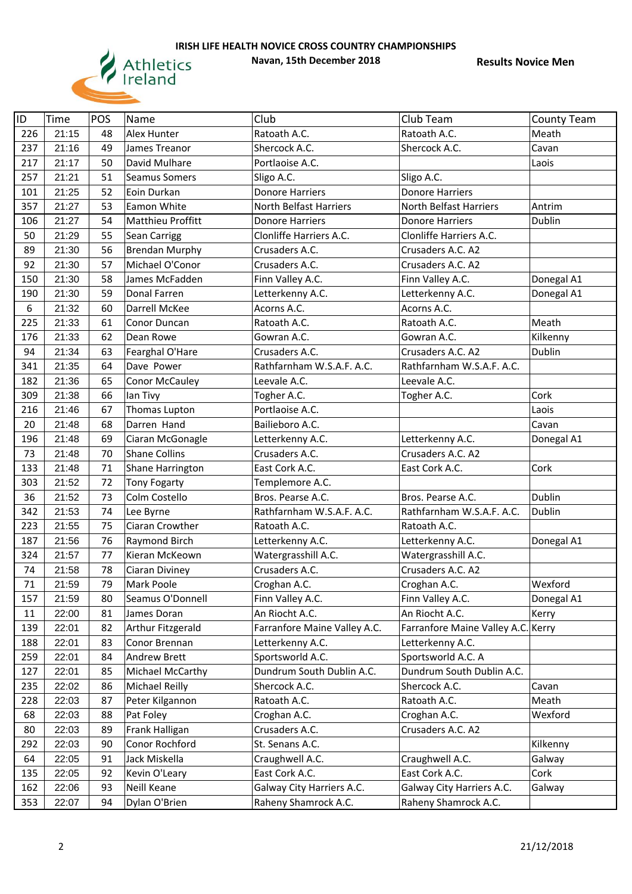

| ID  | Time  | POS | Name                    | Club                         | Club Team                          | <b>County Team</b> |
|-----|-------|-----|-------------------------|------------------------------|------------------------------------|--------------------|
| 226 | 21:15 | 48  | Alex Hunter             | Ratoath A.C.                 | Ratoath A.C.                       | Meath              |
| 237 | 21:16 | 49  | James Treanor           | Shercock A.C.                | Shercock A.C.                      | Cavan              |
| 217 | 21:17 | 50  | David Mulhare           | Portlaoise A.C.              |                                    | Laois              |
| 257 | 21:21 | 51  | Seamus Somers           | Sligo A.C.                   | Sligo A.C.                         |                    |
| 101 | 21:25 | 52  | Eoin Durkan             | <b>Donore Harriers</b>       | <b>Donore Harriers</b>             |                    |
| 357 | 21:27 | 53  | Eamon White             | North Belfast Harriers       | North Belfast Harriers             | Antrim             |
| 106 | 21:27 | 54  | Matthieu Proffitt       | <b>Donore Harriers</b>       | <b>Donore Harriers</b>             | Dublin             |
| 50  | 21:29 | 55  | Sean Carrigg            | Clonliffe Harriers A.C.      | Clonliffe Harriers A.C.            |                    |
| 89  | 21:30 | 56  | <b>Brendan Murphy</b>   | Crusaders A.C.               | Crusaders A.C. A2                  |                    |
| 92  | 21:30 | 57  | Michael O'Conor         | Crusaders A.C.               | Crusaders A.C. A2                  |                    |
| 150 | 21:30 | 58  | James McFadden          | Finn Valley A.C.             | Finn Valley A.C.                   | Donegal A1         |
| 190 | 21:30 | 59  | Donal Farren            | Letterkenny A.C.             | Letterkenny A.C.                   | Donegal A1         |
| 6   | 21:32 | 60  | Darrell McKee           | Acorns A.C.                  | Acorns A.C.                        |                    |
| 225 | 21:33 | 61  | Conor Duncan            | Ratoath A.C.                 | Ratoath A.C.                       | Meath              |
| 176 | 21:33 | 62  | Dean Rowe               | Gowran A.C.                  | Gowran A.C.                        | Kilkenny           |
| 94  | 21:34 | 63  | Fearghal O'Hare         | Crusaders A.C.               | Crusaders A.C. A2                  | Dublin             |
| 341 | 21:35 | 64  | Dave Power              | Rathfarnham W.S.A.F. A.C.    | Rathfarnham W.S.A.F. A.C.          |                    |
| 182 | 21:36 | 65  | <b>Conor McCauley</b>   | Leevale A.C.                 | Leevale A.C.                       |                    |
| 309 | 21:38 | 66  | lan Tivy                | Togher A.C.                  | Togher A.C.                        | Cork               |
| 216 | 21:46 | 67  | Thomas Lupton           | Portlaoise A.C.              |                                    | Laois              |
| 20  | 21:48 | 68  | Darren Hand             | Bailieboro A.C.              |                                    | Cavan              |
| 196 | 21:48 | 69  | Ciaran McGonagle        | Letterkenny A.C.             | Letterkenny A.C.                   | Donegal A1         |
| 73  | 21:48 | 70  | <b>Shane Collins</b>    | Crusaders A.C.               | Crusaders A.C. A2                  |                    |
| 133 | 21:48 | 71  | <b>Shane Harrington</b> | East Cork A.C.               | East Cork A.C.                     | Cork               |
| 303 | 21:52 | 72  | <b>Tony Fogarty</b>     | Templemore A.C.              |                                    |                    |
| 36  | 21:52 | 73  | Colm Costello           | Bros. Pearse A.C.            | Bros. Pearse A.C.                  | Dublin             |
| 342 | 21:53 | 74  | Lee Byrne               | Rathfarnham W.S.A.F. A.C.    | Rathfarnham W.S.A.F. A.C.          | Dublin             |
| 223 | 21:55 | 75  | Ciaran Crowther         | Ratoath A.C.                 | Ratoath A.C.                       |                    |
| 187 | 21:56 | 76  | Raymond Birch           | Letterkenny A.C.             | Letterkenny A.C.                   | Donegal A1         |
| 324 | 21:57 | 77  | Kieran McKeown          | Watergrasshill A.C.          | Watergrasshill A.C.                |                    |
| 74  | 21:58 | 78  | Ciaran Diviney          | Crusaders A.C.               | Crusaders A.C. A2                  |                    |
| 71  | 21:59 | 79  | Mark Poole              | Croghan A.C.                 | Croghan A.C.                       | Wexford            |
| 157 | 21:59 | 80  | Seamus O'Donnell        | Finn Valley A.C.             | Finn Valley A.C.                   | Donegal A1         |
| 11  | 22:00 | 81  | James Doran             | An Riocht A.C.               | An Riocht A.C.                     | Kerry              |
| 139 | 22:01 | 82  | Arthur Fitzgerald       | Farranfore Maine Valley A.C. | Farranfore Maine Valley A.C. Kerry |                    |
| 188 | 22:01 | 83  | Conor Brennan           | Letterkenny A.C.             | Letterkenny A.C.                   |                    |
| 259 | 22:01 | 84  | <b>Andrew Brett</b>     | Sportsworld A.C.             | Sportsworld A.C. A                 |                    |
| 127 | 22:01 | 85  | Michael McCarthy        | Dundrum South Dublin A.C.    | Dundrum South Dublin A.C.          |                    |
| 235 | 22:02 | 86  | Michael Reilly          | Shercock A.C.                | Shercock A.C.                      | Cavan              |
| 228 | 22:03 | 87  | Peter Kilgannon         | Ratoath A.C.                 | Ratoath A.C.                       | Meath              |
| 68  | 22:03 | 88  | Pat Foley               | Croghan A.C.                 | Croghan A.C.                       | Wexford            |
| 80  | 22:03 | 89  | Frank Halligan          | Crusaders A.C.               | Crusaders A.C. A2                  |                    |
| 292 | 22:03 | 90  | Conor Rochford          | St. Senans A.C.              |                                    | Kilkenny           |
| 64  | 22:05 | 91  | Jack Miskella           | Craughwell A.C.              | Craughwell A.C.                    | Galway             |
| 135 | 22:05 | 92  | Kevin O'Leary           | East Cork A.C.               | East Cork A.C.                     | Cork               |
| 162 | 22:06 | 93  | Neill Keane             | Galway City Harriers A.C.    | Galway City Harriers A.C.          | Galway             |
| 353 | 22:07 | 94  | Dylan O'Brien           | Raheny Shamrock A.C.         | Raheny Shamrock A.C.               |                    |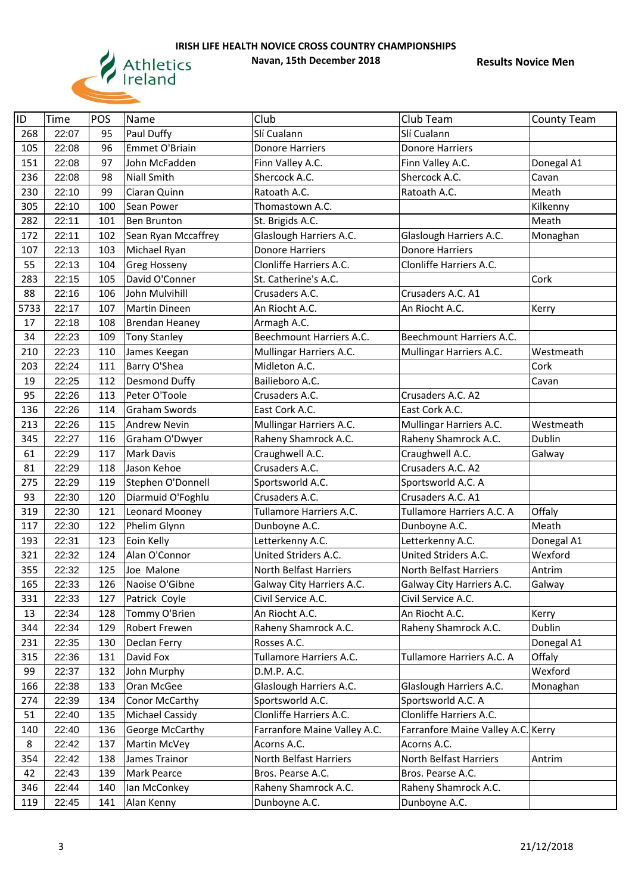

| ID   | <b>Time</b> | POS | Name                  | Club                          | Club Team                          | <b>County Team</b> |
|------|-------------|-----|-----------------------|-------------------------------|------------------------------------|--------------------|
| 268  | 22:07       | 95  | Paul Duffy            | Slí Cualann                   | Slí Cualann                        |                    |
| 105  | 22:08       | 96  | Emmet O'Briain        | <b>Donore Harriers</b>        | <b>Donore Harriers</b>             |                    |
| 151  | 22:08       | 97  | John McFadden         | Finn Valley A.C.              | Finn Valley A.C.                   | Donegal A1         |
| 236  | 22:08       | 98  | <b>Niall Smith</b>    | Shercock A.C.                 | Shercock A.C.                      | Cavan              |
| 230  | 22:10       | 99  | Ciaran Quinn          | Ratoath A.C.                  | Ratoath A.C.                       | Meath              |
| 305  | 22:10       | 100 | Sean Power            | Thomastown A.C.               |                                    | Kilkenny           |
| 282  | 22:11       | 101 | Ben Brunton           | St. Brigids A.C.              |                                    | Meath              |
| 172  | 22:11       | 102 | Sean Ryan Mccaffrey   | Glaslough Harriers A.C.       | Glaslough Harriers A.C.            | Monaghan           |
| 107  | 22:13       | 103 | Michael Ryan          | <b>Donore Harriers</b>        | <b>Donore Harriers</b>             |                    |
| 55   | 22:13       | 104 | Greg Hosseny          | Clonliffe Harriers A.C.       | Clonliffe Harriers A.C.            |                    |
| 283  | 22:15       | 105 | David O'Conner        | St. Catherine's A.C.          |                                    | Cork               |
| 88   | 22:16       | 106 | John Mulvihill        | Crusaders A.C.                | Crusaders A.C. A1                  |                    |
| 5733 | 22:17       | 107 | Martin Dineen         | An Riocht A.C.                | An Riocht A.C.                     | Kerry              |
| 17   | 22:18       | 108 | <b>Brendan Heaney</b> | Armagh A.C.                   |                                    |                    |
| 34   | 22:23       | 109 | <b>Tony Stanley</b>   | Beechmount Harriers A.C.      | Beechmount Harriers A.C.           |                    |
| 210  | 22:23       | 110 | James Keegan          | Mullingar Harriers A.C.       | Mullingar Harriers A.C.            | Westmeath          |
| 203  | 22:24       | 111 | Barry O'Shea          | Midleton A.C.                 |                                    | Cork               |
| 19   | 22:25       | 112 | Desmond Duffy         | Bailieboro A.C.               |                                    | Cavan              |
| 95   | 22:26       | 113 | Peter O'Toole         | Crusaders A.C.                | Crusaders A.C. A2                  |                    |
| 136  | 22:26       | 114 | Graham Swords         | East Cork A.C.                | East Cork A.C.                     |                    |
| 213  | 22:26       | 115 | <b>Andrew Nevin</b>   | Mullingar Harriers A.C.       | Mullingar Harriers A.C.            | Westmeath          |
| 345  | 22:27       | 116 | Graham O'Dwyer        | Raheny Shamrock A.C.          | Raheny Shamrock A.C.               | Dublin             |
| 61   | 22:29       | 117 | Mark Davis            | Craughwell A.C.               | Craughwell A.C.                    | Galway             |
| 81   | 22:29       | 118 | Jason Kehoe           | Crusaders A.C.                | Crusaders A.C. A2                  |                    |
| 275  | 22:29       | 119 | Stephen O'Donnell     | Sportsworld A.C.              | Sportsworld A.C. A                 |                    |
| 93   | 22:30       | 120 | Diarmuid O'Foghlu     | Crusaders A.C.                | Crusaders A.C. A1                  |                    |
| 319  | 22:30       | 121 | Leonard Mooney        | Tullamore Harriers A.C.       | Tullamore Harriers A.C. A          | Offaly             |
| 117  | 22:30       | 122 | Phelim Glynn          | Dunboyne A.C.                 | Dunboyne A.C.                      | Meath              |
| 193  | 22:31       | 123 | Eoin Kelly            | Letterkenny A.C.              | Letterkenny A.C.                   | Donegal A1         |
| 321  | 22:32       | 124 | Alan O'Connor         | United Striders A.C.          | United Striders A.C.               | Wexford            |
| 355  | 22:32       | 125 | Joe Malone            | <b>North Belfast Harriers</b> | North Belfast Harriers             | Antrim             |
| 165  | 22:33       | 126 | Naoise O'Gibne        | Galway City Harriers A.C.     | Galway City Harriers A.C.          | Galway             |
| 331  | 22:33       | 127 | Patrick Coyle         | Civil Service A.C.            | Civil Service A.C.                 |                    |
| 13   | 22:34       | 128 | Tommy O'Brien         | An Riocht A.C.                | An Riocht A.C.                     | Kerry              |
| 344  | 22:34       | 129 | Robert Frewen         | Raheny Shamrock A.C.          | Raheny Shamrock A.C.               | Dublin             |
| 231  | 22:35       | 130 | Declan Ferry          | Rosses A.C.                   |                                    | Donegal A1         |
| 315  | 22:36       | 131 | David Fox             | Tullamore Harriers A.C.       | Tullamore Harriers A.C. A          | Offaly             |
| 99   | 22:37       | 132 | John Murphy           | D.M.P. A.C.                   |                                    | Wexford            |
| 166  | 22:38       | 133 | Oran McGee            | Glaslough Harriers A.C.       | Glaslough Harriers A.C.            | Monaghan           |
| 274  | 22:39       | 134 | Conor McCarthy        | Sportsworld A.C.              | Sportsworld A.C. A                 |                    |
| 51   | 22:40       | 135 | Michael Cassidy       | Clonliffe Harriers A.C.       | Clonliffe Harriers A.C.            |                    |
| 140  | 22:40       | 136 | George McCarthy       | Farranfore Maine Valley A.C.  | Farranfore Maine Valley A.C. Kerry |                    |
| 8    | 22:42       | 137 | Martin McVey          | Acorns A.C.                   | Acorns A.C.                        |                    |
| 354  | 22:42       | 138 | James Trainor         | North Belfast Harriers        | North Belfast Harriers             | Antrim             |
| 42   | 22:43       | 139 | Mark Pearce           | Bros. Pearse A.C.             | Bros. Pearse A.C.                  |                    |
| 346  | 22:44       | 140 | Ian McConkey          | Raheny Shamrock A.C.          | Raheny Shamrock A.C.               |                    |
| 119  | 22:45       | 141 | Alan Kenny            | Dunboyne A.C.                 | Dunboyne A.C.                      |                    |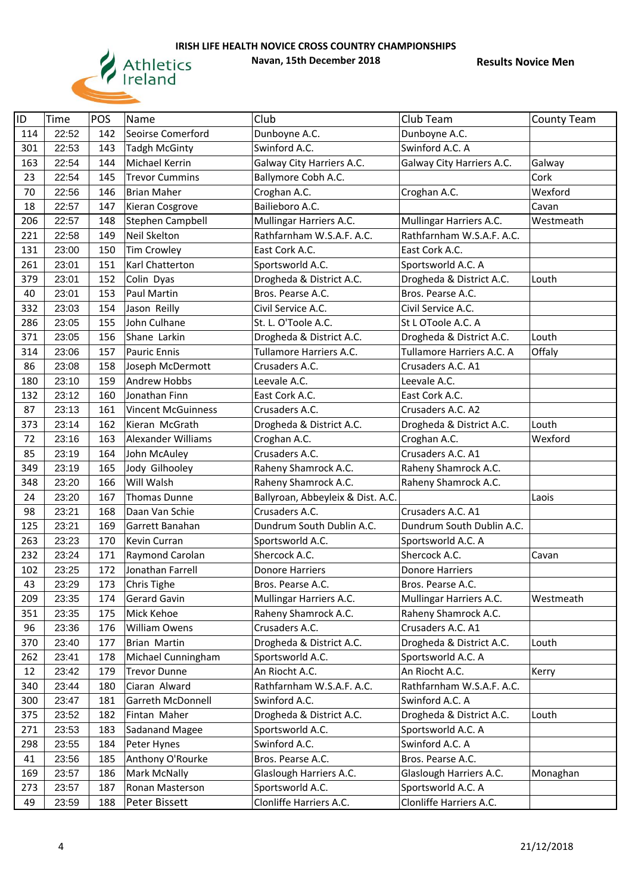

| ID  | Time  | POS | Name                      | Club                              | Club Team                 | <b>County Team</b> |
|-----|-------|-----|---------------------------|-----------------------------------|---------------------------|--------------------|
| 114 | 22:52 | 142 | Seoirse Comerford         | Dunboyne A.C.                     | Dunboyne A.C.             |                    |
| 301 | 22:53 | 143 | <b>Tadgh McGinty</b>      | Swinford A.C.                     | Swinford A.C. A           |                    |
| 163 | 22:54 | 144 | Michael Kerrin            | Galway City Harriers A.C.         | Galway City Harriers A.C. | Galway             |
| 23  | 22:54 | 145 | <b>Trevor Cummins</b>     | Ballymore Cobh A.C.               |                           | Cork               |
| 70  | 22:56 | 146 | <b>Brian Maher</b>        | Croghan A.C.                      | Croghan A.C.              | Wexford            |
| 18  | 22:57 | 147 | Kieran Cosgrove           | Bailieboro A.C.                   |                           | Cavan              |
| 206 | 22:57 | 148 | Stephen Campbell          | Mullingar Harriers A.C.           | Mullingar Harriers A.C.   | Westmeath          |
| 221 | 22:58 | 149 | Neil Skelton              | Rathfarnham W.S.A.F. A.C.         | Rathfarnham W.S.A.F. A.C. |                    |
| 131 | 23:00 | 150 | <b>Tim Crowley</b>        | East Cork A.C.                    | East Cork A.C.            |                    |
| 261 | 23:01 | 151 | Karl Chatterton           | Sportsworld A.C.                  | Sportsworld A.C. A        |                    |
| 379 | 23:01 | 152 | Colin Dyas                | Drogheda & District A.C.          | Drogheda & District A.C.  | Louth              |
| 40  | 23:01 | 153 | Paul Martin               | Bros. Pearse A.C.                 | Bros. Pearse A.C.         |                    |
| 332 | 23:03 | 154 | Jason Reilly              | Civil Service A.C.                | Civil Service A.C.        |                    |
| 286 | 23:05 | 155 | John Culhane              | St. L. O'Toole A.C.               | St L OToole A.C. A        |                    |
| 371 | 23:05 | 156 | Shane Larkin              | Drogheda & District A.C.          | Drogheda & District A.C.  | Louth              |
| 314 | 23:06 | 157 | <b>Pauric Ennis</b>       | Tullamore Harriers A.C.           | Tullamore Harriers A.C. A | Offaly             |
| 86  | 23:08 | 158 | Joseph McDermott          | Crusaders A.C.                    | Crusaders A.C. A1         |                    |
| 180 | 23:10 | 159 | Andrew Hobbs              | Leevale A.C.                      | Leevale A.C.              |                    |
| 132 | 23:12 | 160 | Jonathan Finn             | East Cork A.C.                    | East Cork A.C.            |                    |
| 87  | 23:13 | 161 | <b>Vincent McGuinness</b> | Crusaders A.C.                    | Crusaders A.C. A2         |                    |
| 373 | 23:14 | 162 | Kieran McGrath            | Drogheda & District A.C.          | Drogheda & District A.C.  | Louth              |
| 72  | 23:16 | 163 | Alexander Williams        | Croghan A.C.                      | Croghan A.C.              | Wexford            |
| 85  | 23:19 | 164 | John McAuley              | Crusaders A.C.                    | Crusaders A.C. A1         |                    |
| 349 | 23:19 | 165 | Jody Gilhooley            | Raheny Shamrock A.C.              | Raheny Shamrock A.C.      |                    |
| 348 | 23:20 | 166 | Will Walsh                | Raheny Shamrock A.C.              | Raheny Shamrock A.C.      |                    |
| 24  | 23:20 | 167 | Thomas Dunne              | Ballyroan, Abbeyleix & Dist. A.C. |                           | Laois              |
| 98  | 23:21 | 168 | Daan Van Schie            | Crusaders A.C.                    | Crusaders A.C. A1         |                    |
| 125 | 23:21 | 169 | Garrett Banahan           | Dundrum South Dublin A.C.         | Dundrum South Dublin A.C. |                    |
| 263 | 23:23 | 170 | Kevin Curran              | Sportsworld A.C.                  | Sportsworld A.C. A        |                    |
| 232 | 23:24 | 171 | Raymond Carolan           | Shercock A.C.                     | Shercock A.C.             | Cavan              |
| 102 | 23:25 | 172 | Jonathan Farrell          | <b>Donore Harriers</b>            | <b>Donore Harriers</b>    |                    |
| 43  | 23:29 | 173 | Chris Tighe               | Bros. Pearse A.C.                 | Bros. Pearse A.C.         |                    |
| 209 | 23:35 | 174 | Gerard Gavin              | Mullingar Harriers A.C.           | Mullingar Harriers A.C.   | Westmeath          |
| 351 | 23:35 | 175 | Mick Kehoe                | Raheny Shamrock A.C.              | Raheny Shamrock A.C.      |                    |
| 96  | 23:36 | 176 | William Owens             | Crusaders A.C.                    | Crusaders A.C. A1         |                    |
| 370 | 23:40 | 177 | Brian Martin              | Drogheda & District A.C.          | Drogheda & District A.C.  | Louth              |
| 262 | 23:41 | 178 | Michael Cunningham        | Sportsworld A.C.                  | Sportsworld A.C. A        |                    |
| 12  | 23:42 | 179 | <b>Trevor Dunne</b>       | An Riocht A.C.                    | An Riocht A.C.            | Kerry              |
| 340 | 23:44 | 180 | Ciaran Alward             | Rathfarnham W.S.A.F. A.C.         | Rathfarnham W.S.A.F. A.C. |                    |
| 300 | 23:47 | 181 | Garreth McDonnell         | Swinford A.C.                     | Swinford A.C. A           |                    |
| 375 | 23:52 | 182 | Fintan Maher              | Drogheda & District A.C.          | Drogheda & District A.C.  | Louth              |
| 271 | 23:53 | 183 | Sadanand Magee            | Sportsworld A.C.                  | Sportsworld A.C. A        |                    |
| 298 | 23:55 | 184 | Peter Hynes               | Swinford A.C.                     | Swinford A.C. A           |                    |
| 41  | 23:56 | 185 | Anthony O'Rourke          | Bros. Pearse A.C.                 | Bros. Pearse A.C.         |                    |
| 169 | 23:57 | 186 | Mark McNally              | Glaslough Harriers A.C.           | Glaslough Harriers A.C.   | Monaghan           |
| 273 | 23:57 | 187 | Ronan Masterson           | Sportsworld A.C.                  | Sportsworld A.C. A        |                    |
| 49  | 23:59 | 188 | Peter Bissett             | Clonliffe Harriers A.C.           | Clonliffe Harriers A.C.   |                    |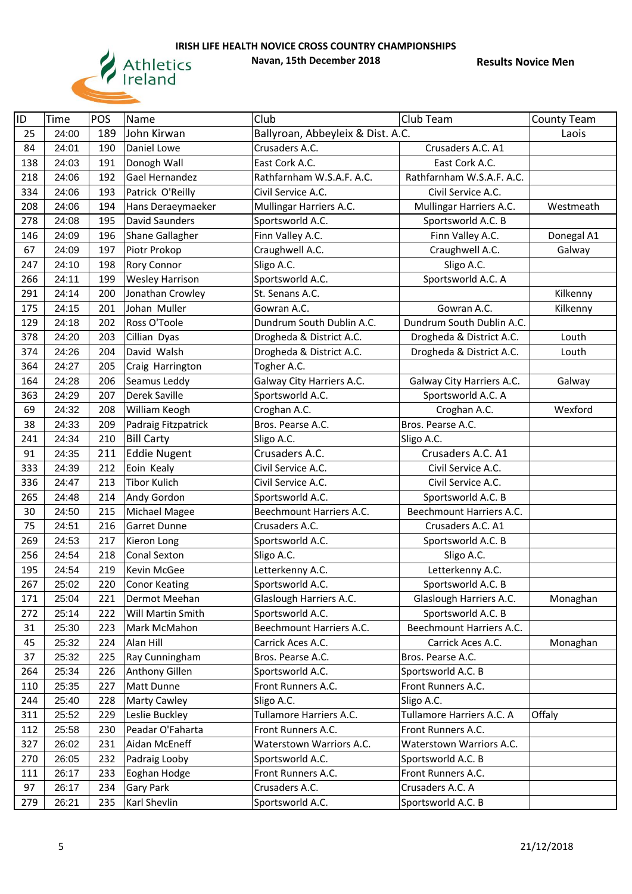

| ID  | <b>Time</b> | POS | Name                   | Club                              | Club Team                               | <b>County Team</b> |
|-----|-------------|-----|------------------------|-----------------------------------|-----------------------------------------|--------------------|
| 25  | 24:00       | 189 | John Kirwan            | Ballyroan, Abbeyleix & Dist. A.C. |                                         | Laois              |
| 84  | 24:01       | 190 | Daniel Lowe            | Crusaders A.C.                    | Crusaders A.C. A1                       |                    |
| 138 | 24:03       | 191 | Donogh Wall            | East Cork A.C.                    | East Cork A.C.                          |                    |
| 218 | 24:06       | 192 | Gael Hernandez         | Rathfarnham W.S.A.F. A.C.         | Rathfarnham W.S.A.F. A.C.               |                    |
| 334 | 24:06       | 193 | Patrick O'Reilly       | Civil Service A.C.                | Civil Service A.C.                      |                    |
| 208 | 24:06       | 194 | Hans Deraeymaeker      | Mullingar Harriers A.C.           | Mullingar Harriers A.C.                 | Westmeath          |
| 278 | 24:08       | 195 | <b>David Saunders</b>  | Sportsworld A.C.                  | Sportsworld A.C. B                      |                    |
| 146 | 24:09       | 196 | Shane Gallagher        | Finn Valley A.C.                  | Finn Valley A.C.                        | Donegal A1         |
| 67  | 24:09       | 197 | Piotr Prokop           | Craughwell A.C.                   | Craughwell A.C.                         | Galway             |
| 247 | 24:10       | 198 | <b>Rory Connor</b>     | Sligo A.C.                        | Sligo A.C.                              |                    |
| 266 | 24:11       | 199 | <b>Wesley Harrison</b> | Sportsworld A.C.                  | Sportsworld A.C. A                      |                    |
| 291 | 24:14       | 200 | Jonathan Crowley       | St. Senans A.C.                   |                                         | Kilkenny           |
| 175 | 24:15       | 201 | Johan Muller           | Gowran A.C.                       | Gowran A.C.                             | Kilkenny           |
| 129 | 24:18       | 202 | Ross O'Toole           | Dundrum South Dublin A.C.         | Dundrum South Dublin A.C.               |                    |
| 378 | 24:20       | 203 | Cillian Dyas           | Drogheda & District A.C.          | Drogheda & District A.C.                | Louth              |
| 374 | 24:26       | 204 | David Walsh            | Drogheda & District A.C.          | Drogheda & District A.C.                | Louth              |
| 364 | 24:27       | 205 | Craig Harrington       | Togher A.C.                       |                                         |                    |
| 164 | 24:28       | 206 | Seamus Leddy           | Galway City Harriers A.C.         | Galway City Harriers A.C.               | Galway             |
| 363 | 24:29       | 207 | Derek Saville          | Sportsworld A.C.                  | Sportsworld A.C. A                      |                    |
| 69  | 24:32       | 208 | William Keogh          | Croghan A.C.                      | Croghan A.C.                            | Wexford            |
| 38  | 24:33       | 209 | Padraig Fitzpatrick    | Bros. Pearse A.C.                 | Bros. Pearse A.C.                       |                    |
| 241 | 24:34       | 210 | <b>Bill Carty</b>      | Sligo A.C.                        | Sligo A.C.                              |                    |
| 91  | 24:35       | 211 | <b>Eddie Nugent</b>    | Crusaders A.C.                    | Crusaders A.C. A1                       |                    |
| 333 | 24:39       | 212 | Eoin Kealy             | Civil Service A.C.                | Civil Service A.C.                      |                    |
| 336 | 24:47       | 213 | <b>Tibor Kulich</b>    | Civil Service A.C.                | Civil Service A.C.                      |                    |
| 265 | 24:48       | 214 | Andy Gordon            | Sportsworld A.C.                  | Sportsworld A.C. B                      |                    |
| 30  | 24:50       | 215 | Michael Magee          | Beechmount Harriers A.C.          | Beechmount Harriers A.C.                |                    |
| 75  | 24:51       | 216 | <b>Garret Dunne</b>    | Crusaders A.C.                    | Crusaders A.C. A1                       |                    |
| 269 | 24:53       | 217 | Kieron Long            | Sportsworld A.C.                  | Sportsworld A.C. B                      |                    |
| 256 | 24:54       | 218 | <b>Conal Sexton</b>    | Sligo A.C.                        | Sligo A.C.                              |                    |
| 195 | 24:54       | 219 | Kevin McGee            | Letterkenny A.C.                  | Letterkenny A.C.                        |                    |
| 267 | 25:02       | 220 | <b>Conor Keating</b>   | Sportsworld A.C.                  | Sportsworld A.C. B                      |                    |
| 171 | 25:04       | 221 | Dermot Meehan          | Glaslough Harriers A.C.           | Glaslough Harriers A.C.                 | Monaghan           |
| 272 | 25:14       | 222 | Will Martin Smith      | Sportsworld A.C.                  | Sportsworld A.C. B                      |                    |
| 31  | 25:30       | 223 | Mark McMahon           | Beechmount Harriers A.C.          | Beechmount Harriers A.C.                |                    |
| 45  | 25:32       | 224 | Alan Hill              | Carrick Aces A.C.                 | Carrick Aces A.C.                       | Monaghan           |
| 37  | 25:32       | 225 | Ray Cunningham         | Bros. Pearse A.C.                 | Bros. Pearse A.C.                       |                    |
| 264 | 25:34       | 226 | <b>Anthony Gillen</b>  | Sportsworld A.C.                  | Sportsworld A.C. B                      |                    |
|     |             |     |                        |                                   |                                         |                    |
| 110 | 25:35       | 227 | Matt Dunne             | Front Runners A.C.                | Front Runners A.C.                      |                    |
| 244 | 25:40       | 228 | Marty Cawley           | Sligo A.C.                        | Sligo A.C.<br>Tullamore Harriers A.C. A |                    |
| 311 | 25:52       | 229 | Leslie Buckley         | Tullamore Harriers A.C.           |                                         | Offaly             |
| 112 | 25:58       | 230 | Peadar O'Faharta       | Front Runners A.C.                | Front Runners A.C.                      |                    |
| 327 | 26:02       | 231 | Aidan McEneff          | <b>Waterstown Warriors A.C.</b>   | <b>Waterstown Warriors A.C.</b>         |                    |
| 270 | 26:05       | 232 | Padraig Looby          | Sportsworld A.C.                  | Sportsworld A.C. B                      |                    |
| 111 | 26:17       | 233 | Eoghan Hodge           | Front Runners A.C.                | Front Runners A.C.                      |                    |
| 97  | 26:17       | 234 | Gary Park              | Crusaders A.C.                    | Crusaders A.C. A                        |                    |
| 279 | 26:21       | 235 | Karl Shevlin           | Sportsworld A.C.                  | Sportsworld A.C. B                      |                    |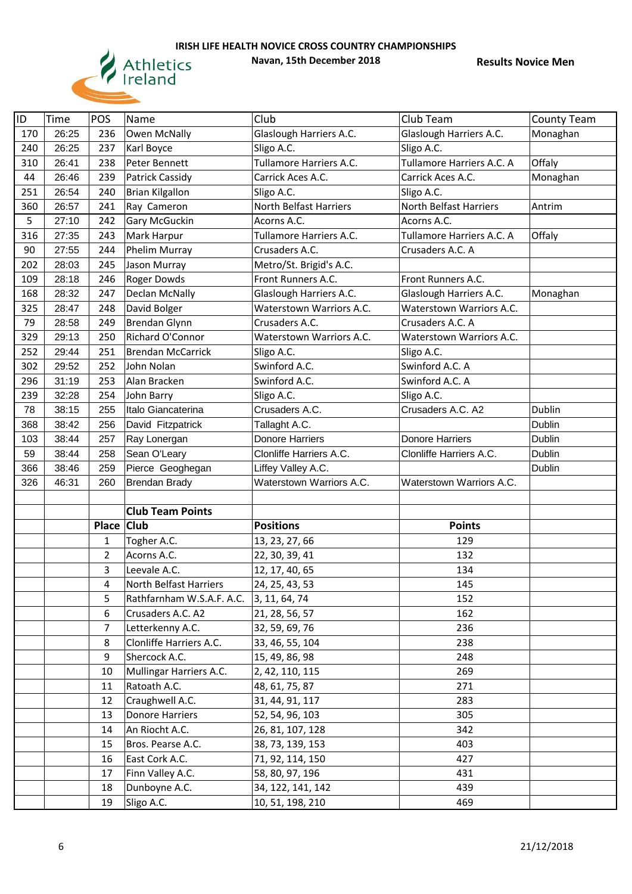

| ID  | Time  | POS            | Name                      | Club                     | Club Team                       | <b>County Team</b> |
|-----|-------|----------------|---------------------------|--------------------------|---------------------------------|--------------------|
| 170 | 26:25 | 236            | Owen McNally              | Glaslough Harriers A.C.  | Glaslough Harriers A.C.         | Monaghan           |
| 240 | 26:25 | 237            | Karl Boyce                | Sligo A.C.               | Sligo A.C.                      |                    |
| 310 | 26:41 | 238            | Peter Bennett             | Tullamore Harriers A.C.  | Tullamore Harriers A.C. A       | Offaly             |
| 44  | 26:46 | 239            | Patrick Cassidy           | Carrick Aces A.C.        | Carrick Aces A.C.               | Monaghan           |
| 251 | 26:54 | 240            | <b>Brian Kilgallon</b>    | Sligo A.C.               | Sligo A.C.                      |                    |
| 360 | 26:57 | 241            | Ray Cameron               | North Belfast Harriers   | North Belfast Harriers          | Antrim             |
| 5   | 27:10 | 242            | Gary McGuckin             | Acorns A.C.              | Acorns A.C.                     |                    |
| 316 | 27:35 | 243            | Mark Harpur               | Tullamore Harriers A.C.  | Tullamore Harriers A.C. A       | Offaly             |
| 90  | 27:55 | 244            | Phelim Murray             | Crusaders A.C.           | Crusaders A.C. A                |                    |
| 202 | 28:03 | 245            | Jason Murray              | Metro/St. Brigid's A.C.  |                                 |                    |
| 109 | 28:18 | 246            | Roger Dowds               | Front Runners A.C.       | Front Runners A.C.              |                    |
| 168 | 28:32 | 247            | Declan McNally            | Glaslough Harriers A.C.  | Glaslough Harriers A.C.         | Monaghan           |
| 325 | 28:47 | 248            | David Bolger              | Waterstown Warriors A.C. | <b>Waterstown Warriors A.C.</b> |                    |
| 79  | 28:58 | 249            | <b>Brendan Glynn</b>      | Crusaders A.C.           | Crusaders A.C. A                |                    |
| 329 | 29:13 | 250            | Richard O'Connor          | Waterstown Warriors A.C. | Waterstown Warriors A.C.        |                    |
| 252 | 29:44 | 251            | <b>Brendan McCarrick</b>  | Sligo A.C.               | Sligo A.C.                      |                    |
| 302 | 29:52 | 252            | John Nolan                | Swinford A.C.            | Swinford A.C. A                 |                    |
| 296 | 31:19 | 253            | Alan Bracken              | Swinford A.C.            | Swinford A.C. A                 |                    |
| 239 | 32:28 | 254            | John Barry                | Sligo A.C.               | Sligo A.C.                      |                    |
| 78  | 38:15 | 255            | Italo Giancaterina        | Crusaders A.C.           | Crusaders A.C. A2               | Dublin             |
| 368 | 38:42 | 256            | David Fitzpatrick         | Tallaght A.C.            |                                 | Dublin             |
| 103 | 38:44 | 257            | Ray Lonergan              | <b>Donore Harriers</b>   | <b>Donore Harriers</b>          | Dublin             |
| 59  | 38:44 | 258            | Sean O'Leary              | Clonliffe Harriers A.C.  | Clonliffe Harriers A.C.         | Dublin             |
| 366 | 38:46 | 259            | Pierce Geoghegan          | Liffey Valley A.C.       |                                 | Dublin             |
| 326 | 46:31 | 260            | <b>Brendan Brady</b>      | Waterstown Warriors A.C. | Waterstown Warriors A.C.        |                    |
|     |       |                |                           |                          |                                 |                    |
|     |       |                | <b>Club Team Points</b>   |                          |                                 |                    |
|     |       | Place Club     |                           | <b>Positions</b>         | <b>Points</b>                   |                    |
|     |       | 1              | Togher A.C.               | 13, 23, 27, 66           | 129                             |                    |
|     |       | $\overline{2}$ | Acorns A.C.               | 22, 30, 39, 41           | 132                             |                    |
|     |       | 3              | Leevale A.C.              | 12, 17, 40, 65           | 134                             |                    |
|     |       | 4              | North Belfast Harriers    | 24, 25, 43, 53           | 145                             |                    |
|     |       | 5              | Rathfarnham W.S.A.F. A.C. | 3, 11, 64, 74            | 152                             |                    |
|     |       | 6              | Crusaders A.C. A2         | 21, 28, 56, 57           | 162                             |                    |
|     |       | 7              | Letterkenny A.C.          | 32, 59, 69, 76           | 236                             |                    |
|     |       | 8              | Clonliffe Harriers A.C.   | 33, 46, 55, 104          | 238                             |                    |
|     |       | 9              | Shercock A.C.             | 15, 49, 86, 98           | 248                             |                    |
|     |       | 10             | Mullingar Harriers A.C.   | 2, 42, 110, 115          | 269                             |                    |
|     |       | 11             | Ratoath A.C.              | 48, 61, 75, 87           | 271                             |                    |
|     |       | 12             | Craughwell A.C.           | 31, 44, 91, 117          | 283                             |                    |
|     |       | 13             | <b>Donore Harriers</b>    | 52, 54, 96, 103          | 305                             |                    |
|     |       | 14             | An Riocht A.C.            | 26, 81, 107, 128         | 342                             |                    |
|     |       | 15             | Bros. Pearse A.C.         | 38, 73, 139, 153         | 403                             |                    |
|     |       | 16             | East Cork A.C.            | 71, 92, 114, 150         | 427                             |                    |
|     |       | 17             | Finn Valley A.C.          | 58, 80, 97, 196          | 431                             |                    |
|     |       | 18             | Dunboyne A.C.             | 34, 122, 141, 142        | 439                             |                    |
|     |       | 19             | Sligo A.C.                | 10, 51, 198, 210         | 469                             |                    |